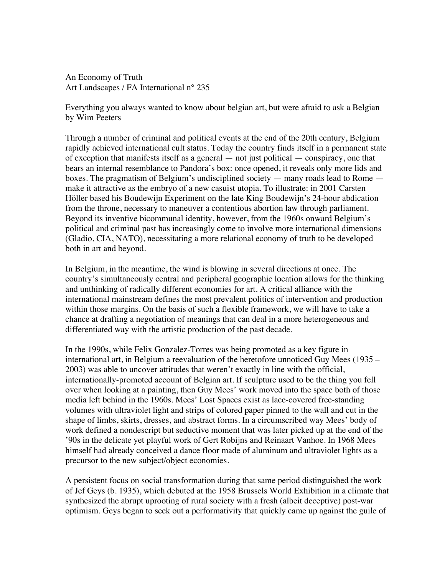An Economy of Truth Art Landscapes / FA International n° 235

Everything you always wanted to know about belgian art, but were afraid to ask a Belgian by Wim Peeters

Through a number of criminal and political events at the end of the 20th century, Belgium rapidly achieved international cult status. Today the country finds itself in a permanent state of exception that manifests itself as a general — not just political — conspiracy, one that bears an internal resemblance to Pandora's box: once opened, it reveals only more lids and boxes. The pragmatism of Belgium's undisciplined society — many roads lead to Rome make it attractive as the embryo of a new casuist utopia. To illustrate: in 2001 Carsten Höller based his Boudewijn Experiment on the late King Boudewijn's 24-hour abdication from the throne, necessary to maneuver a contentious abortion law through parliament. Beyond its inventive bicommunal identity, however, from the 1960s onward Belgium's political and criminal past has increasingly come to involve more international dimensions (Gladio, CIA, NATO), necessitating a more relational economy of truth to be developed both in art and beyond.

In Belgium, in the meantime, the wind is blowing in several directions at once. The country's simultaneously central and peripheral geographic location allows for the thinking and unthinking of radically different economies for art. A critical alliance with the international mainstream defines the most prevalent politics of intervention and production within those margins. On the basis of such a flexible framework, we will have to take a chance at drafting a negotiation of meanings that can deal in a more heterogeneous and differentiated way with the artistic production of the past decade.

In the 1990s, while Felix Gonzalez-Torres was being promoted as a key figure in international art, in Belgium a reevaluation of the heretofore unnoticed Guy Mees (1935 – 2003) was able to uncover attitudes that weren't exactly in line with the official, internationally-promoted account of Belgian art. If sculpture used to be the thing you fell over when looking at a painting, then Guy Mees' work moved into the space both of those media left behind in the 1960s. Mees' Lost Spaces exist as lace-covered free-standing volumes with ultraviolet light and strips of colored paper pinned to the wall and cut in the shape of limbs, skirts, dresses, and abstract forms. In a circumscribed way Mees' body of work defined a nondescript but seductive moment that was later picked up at the end of the '90s in the delicate yet playful work of Gert Robijns and Reinaart Vanhoe. In 1968 Mees himself had already conceived a dance floor made of aluminum and ultraviolet lights as a precursor to the new subject/object economies.

A persistent focus on social transformation during that same period distinguished the work of Jef Geys (b. 1935), which debuted at the 1958 Brussels World Exhibition in a climate that synthesized the abrupt uprooting of rural society with a fresh (albeit deceptive) post-war optimism. Geys began to seek out a performativity that quickly came up against the guile of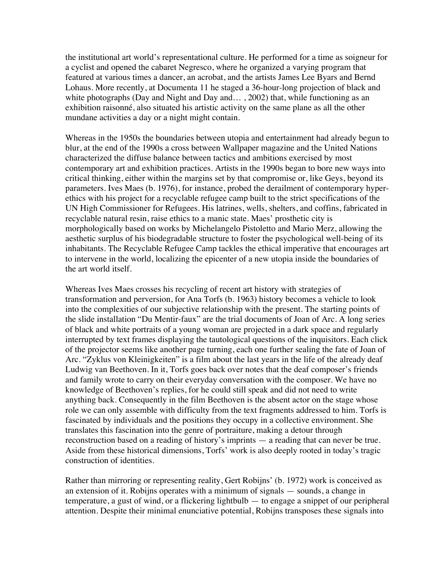the institutional art world's representational culture. He performed for a time as soigneur for a cyclist and opened the cabaret Negresco, where he organized a varying program that featured at various times a dancer, an acrobat, and the artists James Lee Byars and Bernd Lohaus. More recently, at Documenta 11 he staged a 36-hour-long projection of black and white photographs (Day and Night and Day and..., 2002) that, while functioning as an exhibition raisonné, also situated his artistic activity on the same plane as all the other mundane activities a day or a night might contain.

Whereas in the 1950s the boundaries between utopia and entertainment had already begun to blur, at the end of the 1990s a cross between Wallpaper magazine and the United Nations characterized the diffuse balance between tactics and ambitions exercised by most contemporary art and exhibition practices. Artists in the 1990s began to bore new ways into critical thinking, either within the margins set by that compromise or, like Geys, beyond its parameters. Ives Maes (b. 1976), for instance, probed the derailment of contemporary hyperethics with his project for a recyclable refugee camp built to the strict specifications of the UN High Commissioner for Refugees. His latrines, wells, shelters, and coffins, fabricated in recyclable natural resin, raise ethics to a manic state. Maes' prosthetic city is morphologically based on works by Michelangelo Pistoletto and Mario Merz, allowing the aesthetic surplus of his biodegradable structure to foster the psychological well-being of its inhabitants. The Recyclable Refugee Camp tackles the ethical imperative that encourages art to intervene in the world, localizing the epicenter of a new utopia inside the boundaries of the art world itself.

Whereas Ives Maes crosses his recycling of recent art history with strategies of transformation and perversion, for Ana Torfs (b. 1963) history becomes a vehicle to look into the complexities of our subjective relationship with the present. The starting points of the slide installation "Du Mentir-faux" are the trial documents of Joan of Arc. A long series of black and white portraits of a young woman are projected in a dark space and regularly interrupted by text frames displaying the tautological questions of the inquisitors. Each click of the projector seems like another page turning, each one further sealing the fate of Joan of Arc. "Zyklus von Kleinigkeiten" is a film about the last years in the life of the already deaf Ludwig van Beethoven. In it, Torfs goes back over notes that the deaf composer's friends and family wrote to carry on their everyday conversation with the composer. We have no knowledge of Beethoven's replies, for he could still speak and did not need to write anything back. Consequently in the film Beethoven is the absent actor on the stage whose role we can only assemble with difficulty from the text fragments addressed to him. Torfs is fascinated by individuals and the positions they occupy in a collective environment. She translates this fascination into the genre of portraiture, making a detour through reconstruction based on a reading of history's imprints — a reading that can never be true. Aside from these historical dimensions, Torfs' work is also deeply rooted in today's tragic construction of identities.

Rather than mirroring or representing reality, Gert Robijns' (b. 1972) work is conceived as an extension of it. Robijns operates with a minimum of signals — sounds, a change in temperature, a gust of wind, or a flickering lightbulb — to engage a snippet of our peripheral attention. Despite their minimal enunciative potential, Robijns transposes these signals into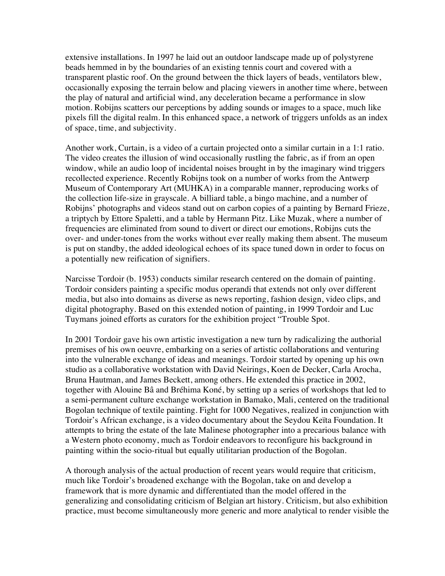extensive installations. In 1997 he laid out an outdoor landscape made up of polystyrene beads hemmed in by the boundaries of an existing tennis court and covered with a transparent plastic roof. On the ground between the thick layers of beads, ventilators blew, occasionally exposing the terrain below and placing viewers in another time where, between the play of natural and artificial wind, any deceleration became a performance in slow motion. Robijns scatters our perceptions by adding sounds or images to a space, much like pixels fill the digital realm. In this enhanced space, a network of triggers unfolds as an index of space, time, and subjectivity.

Another work, Curtain, is a video of a curtain projected onto a similar curtain in a 1:1 ratio. The video creates the illusion of wind occasionally rustling the fabric, as if from an open window, while an audio loop of incidental noises brought in by the imaginary wind triggers recollected experience. Recently Robijns took on a number of works from the Antwerp Museum of Contemporary Art (MUHKA) in a comparable manner, reproducing works of the collection life-size in grayscale. A billiard table, a bingo machine, and a number of Robijns' photographs and videos stand out on carbon copies of a painting by Bernard Frieze, a triptych by Ettore Spaletti, and a table by Hermann Pitz. Like Muzak, where a number of frequencies are eliminated from sound to divert or direct our emotions, Robijns cuts the over- and under-tones from the works without ever really making them absent. The museum is put on standby, the added ideological echoes of its space tuned down in order to focus on a potentially new reification of signifiers.

Narcisse Tordoir (b. 1953) conducts similar research centered on the domain of painting. Tordoir considers painting a specific modus operandi that extends not only over different media, but also into domains as diverse as news reporting, fashion design, video clips, and digital photography. Based on this extended notion of painting, in 1999 Tordoir and Luc Tuymans joined efforts as curators for the exhibition project "Trouble Spot.

In 2001 Tordoir gave his own artistic investigation a new turn by radicalizing the authorial premises of his own oeuvre, embarking on a series of artistic collaborations and venturing into the vulnerable exchange of ideas and meanings. Tordoir started by opening up his own studio as a collaborative workstation with David Neirings, Koen de Decker, Carla Arocha, Bruna Hautman, and James Beckett, among others. He extended this practice in 2002, together with Alouine Bâ and Bréhima Koné, by setting up a series of workshops that led to a semi-permanent culture exchange workstation in Bamako, Mali, centered on the traditional Bogolan technique of textile painting. Fight for 1000 Negatives, realized in conjunction with Tordoir's African exchange, is a video documentary about the Seydou Keïta Foundation. It attempts to bring the estate of the late Malinese photographer into a precarious balance with a Western photo economy, much as Tordoir endeavors to reconfigure his background in painting within the socio-ritual but equally utilitarian production of the Bogolan.

A thorough analysis of the actual production of recent years would require that criticism, much like Tordoir's broadened exchange with the Bogolan, take on and develop a framework that is more dynamic and differentiated than the model offered in the generalizing and consolidating criticism of Belgian art history. Criticism, but also exhibition practice, must become simultaneously more generic and more analytical to render visible the